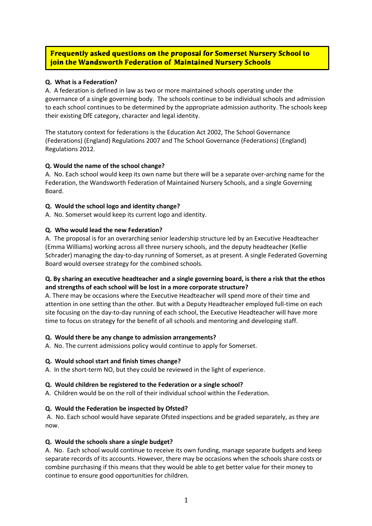Frequently asked questions on the proposal for Somerset Nursery School to join the Wandsworth Federation of Maintained Nursery Schools

# **Q. What is a Federation?**

A.A federation is defined in law as two or more maintained schools operating under the governance of a single governing body. The schools continue to be individual schools and admission to each school continues to be determined by the appropriate admission authority. The schools keep their existing DfE category, character and legal identity.

The statutory context for federations is the Education Act 2002, The School Governance (Federations) (England) Regulations 2007 and The School Governance (Federations) (England) Regulations 2012.

# **Q. Would the name of the school change?**

A. No. Each school would keep its own name but there will be a separate over-arching name for the Federation, the Wandsworth Federation of Maintained Nursery Schools, and a single Governing Board.

# **Q. Would the school logo and identity change?**

A. No. Somerset would keep its current logo and identity.

# **Q. Who would lead the new Federation?**

A. The proposal is for an overarching senior leadership structure led by an Executive Headteacher (Emma Williams) working across all three nursery schools, and the deputy headteacher (Kellie Schrader) managing the day-to-day running of Somerset, as at present. A single Federated Governing Board would oversee strategy for the combined schools.

# **Q. By sharing an executive headteacher and a single governing board, is there a risk that the ethos and strengths of each school will be lost in a more corporate structure?**

A. There may be occasions where the Executive Headteacher will spend more of their time and attention in one setting than the other. But with a Deputy Headteacher employed full-time on each site focusing on the day-to-day running of each school, the Executive Headteacher will have more time to focus on strategy for the benefit of all schools and mentoring and developing staff.

## **Q. Would there be any change to admission arrangements?**

A. No. The current admissions policy would continue to apply for Somerset.

## **Q. Would school start and finish times change?**

A. In the short-term NO, but they could be reviewed in the light of experience.

## **Q. Would children be registered to the Federation or a single school?**

A. Children would be on the roll of their individual school within the Federation.

# **Q. Would the Federation be inspected by Ofsted?**

A. No. Each school would have separate Ofsted inspections and be graded separately, as they are now.

## **Q. Would the schools share a single budget?**

A. No. Each school would continue to receive its own funding, manage separate budgets and keep separate records of its accounts. However, there may be occasions when the schools share costs or combine purchasing if this means that they would be able to get better value for their money to continue to ensure good opportunities for children.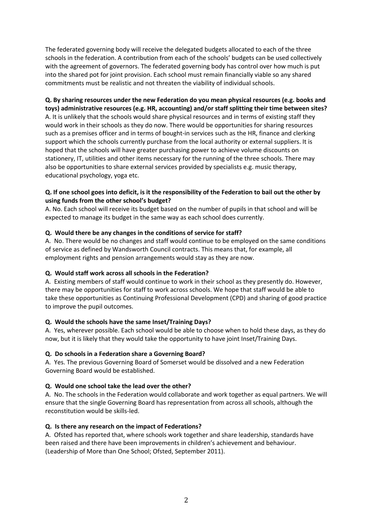The federated governing body will receive the delegated budgets allocated to each of the three schools in the federation. A contribution from each of the schools' budgets can be used collectively with the agreement of governors. The federated governing body has control over how much is put into the shared pot for joint provision. Each school must remain financially viable so any shared commitments must be realistic and not threaten the viability of individual schools.

# **Q. By sharing resources under the new Federation do you mean physical resources (e.g. books and**

**toys) administrative resources (e.g. HR, accounting) and/or staff splitting their time between sites?**  A. It is unlikely that the schools would share physical resources and in terms of existing staff they would work in their schools as they do now. There would be opportunities for sharing resources such as a premises officer and in terms of bought-in services such as the HR, finance and clerking support which the schools currently purchase from the local authority or external suppliers. It is hoped that the schools will have greater purchasing power to achieve volume discounts on stationery, IT, utilities and other items necessary for the running of the three schools. There may also be opportunities to share external services provided by specialists e.g. music therapy, educational psychology, yoga etc.

# **Q. If one school goes into deficit, is it the responsibility of the Federation to bail out the other by using funds from the other school's budget?**

A. No. Each school will receive its budget based on the number of pupils in that school and will be expected to manage its budget in the same way as each school does currently.

# **Q. Would there be any changes in the conditions of service for staff?**

A. No. There would be no changes and staff would continue to be employed on the same conditions of service as defined by Wandsworth Council contracts. This means that, for example, all employment rights and pension arrangements would stay as they are now.

## **Q. Would staff work across all schools in the Federation?**

A. Existing members of staff would continue to work in their school as they presently do. However, there may be opportunities for staff to work across schools. We hope that staff would be able to take these opportunities as Continuing Professional Development (CPD) and sharing of good practice to improve the pupil outcomes.

## **Q. Would the schools have the same Inset/Training Days?**

A. Yes, wherever possible. Each school would be able to choose when to hold these days, as they do now, but it is likely that they would take the opportunity to have joint Inset/Training Days.

## **Q. Do schools in a Federation share a Governing Board?**

A. Yes. The previous Governing Board of Somerset would be dissolved and a new Federation Governing Board would be established.

## **Q. Would one school take the lead over the other?**

A. No. The schools in the Federation would collaborate and work together as equal partners. We will ensure that the single Governing Board has representation from across all schools, although the reconstitution would be skills-led.

## **Q. Is there any research on the impact of Federations?**

A. Ofsted has reported that, where schools work together and share leadership, standards have been raised and there have been improvements in children's achievement and behaviour. (Leadership of More than One School; Ofsted, September 2011).